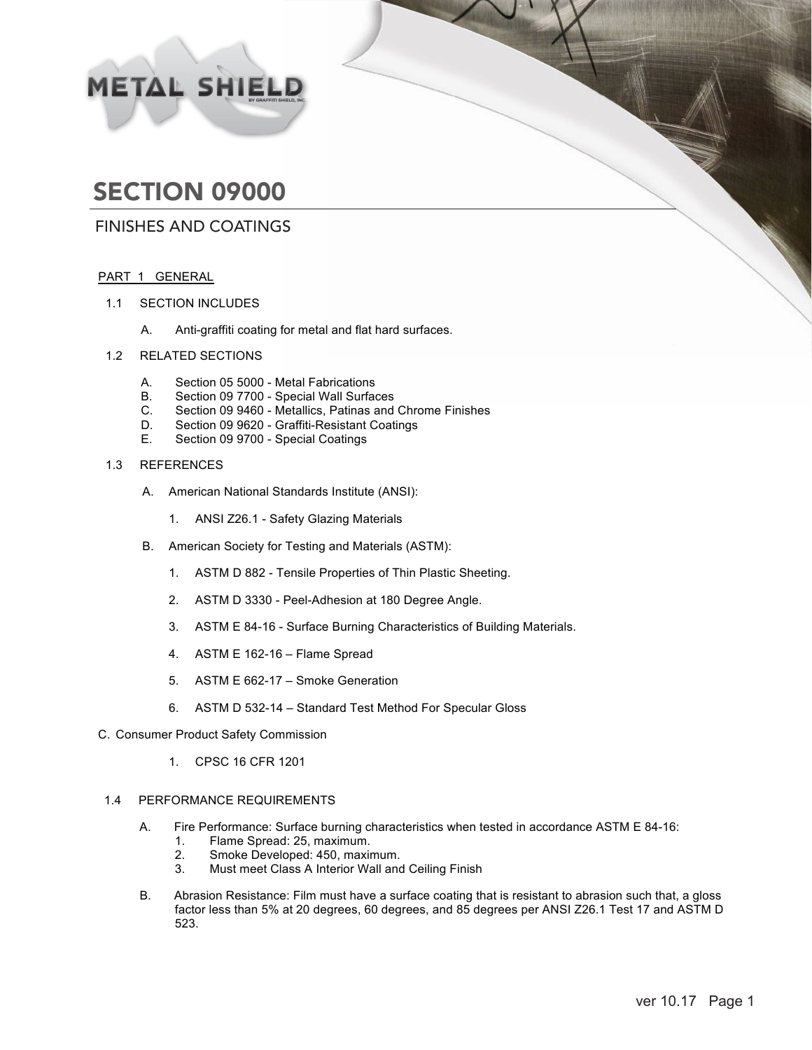# METAL SHIELD

# SECTION 09000

### FINISHES AND COATINGS

#### PART 1 GENERAL

- 1.1 SECTION INCLUDES
	- A. Anti-graffiti coating for metal and flat hard surfaces.
- 1.2 RELATED SECTIONS
	- A. Section 05 5000 Metal Fabrications
	- B. Section 09 7700 Special Wall Surfaces<br>C. Section 09 9460 Metallics, Patinas and
	- C. Section 09 9460 Metallics, Patinas and Chrome Finishes
	- D. Section 09 9620 Graffiti-Resistant Coatings<br>E. Section 09 9700 Special Coatings
	- Section 09 9700 Special Coatings

#### 1.3 REFERENCES

- A. American National Standards Institute (ANSI):
	- 1. ANSI Z26.1 Safety Glazing Materials
- B. American Society for Testing and Materials (ASTM):
	- 1. ASTM D 882 Tensile Properties of Thin Plastic Sheeting.
	- 2. ASTM D 3330 Peel-Adhesion at 180 Degree Angle.
	- 3. ASTM E 84-16 Surface Burning Characteristics of Building Materials.
	- 4. ASTM E 162-16 Flame Spread
	- 5. ASTM E 662-17 Smoke Generation
	- 6. ASTM D 532-14 Standard Test Method For Specular Gloss
- C. Consumer Product Safety Commission
	- 1. CPSC 16 CFR 1201

#### 1.4 PERFORMANCE REQUIREMENTS

- A. Fire Performance: Surface burning characteristics when tested in accordance ASTM E 84-16:<br>1. Flame Spread: 25. maximum.
	- 1. Flame Spread: 25, maximum.<br>2. Smoke Developed: 450. maxim
	- 2. Smoke Developed: 450, maximum.<br>3. Must meet Class A Interior Wall and
	- Must meet Class A Interior Wall and Ceiling Finish
- B. Abrasion Resistance: Film must have a surface coating that is resistant to abrasion such that, a gloss factor less than 5% at 20 degrees, 60 degrees, and 85 degrees per ANSI Z26.1 Test 17 and ASTM D 523.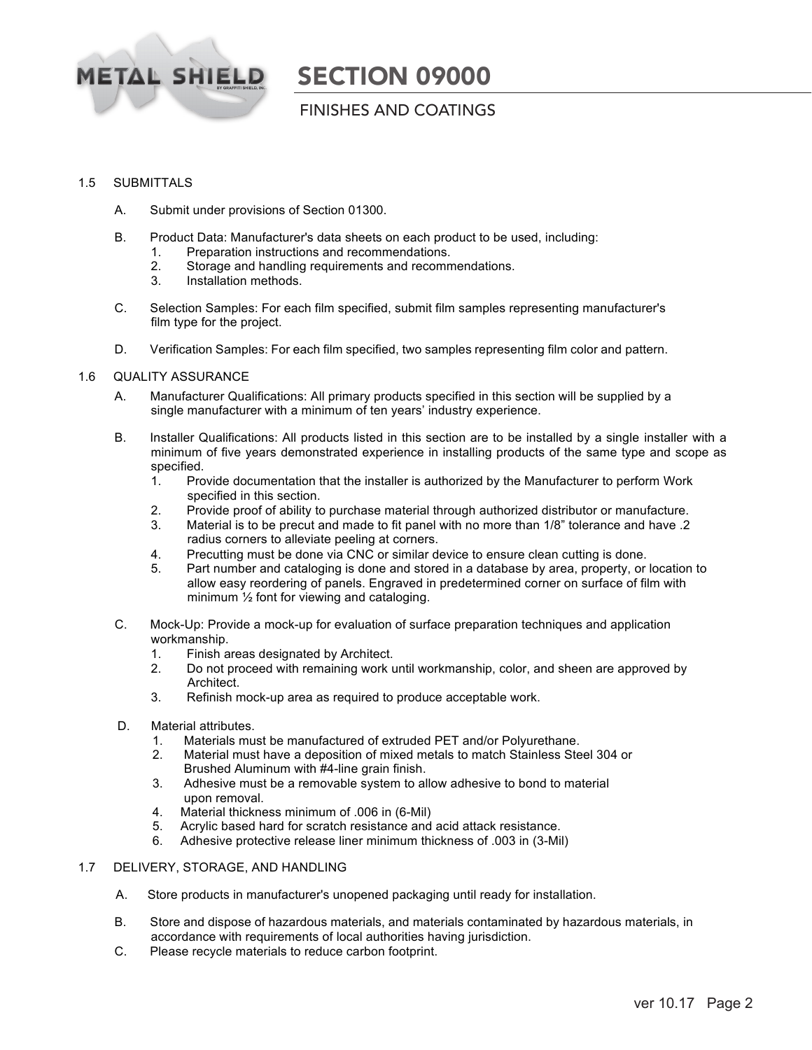

### FINISHES AND COATINGS

#### 1.5 SUBMITTALS

- A. Submit under provisions of Section 01300.
- B. Product Data: Manufacturer's data sheets on each product to be used, including:
	- 1. Preparation instructions and recommendations.
	- 2. Storage and handling requirements and recommendations.
	- 3. Installation methods.
- C. Selection Samples: For each film specified, submit film samples representing manufacturer's film type for the project.
- D. Verification Samples: For each film specified, two samples representing film color and pattern.

#### 1.6 QUALITY ASSURANCE

- A. Manufacturer Qualifications: All primary products specified in this section will be supplied by a single manufacturer with a minimum of ten years' industry experience.
- B. Installer Qualifications: All products listed in this section are to be installed by a single installer with a minimum of five years demonstrated experience in installing products of the same type and scope as specified.<br>1. Pro
	- Provide documentation that the installer is authorized by the Manufacturer to perform Work specified in this section.
	- 2. Provide proof of ability to purchase material through authorized distributor or manufacture.
	- 3. Material is to be precut and made to fit panel with no more than 1/8" tolerance and have .2 radius corners to alleviate peeling at corners.
	- 4. Precutting must be done via CNC or similar device to ensure clean cutting is done.<br>5. Part number and cataloging is done and stored in a database by area, property, or
	- 5. Part number and cataloging is done and stored in a database by area, property, or location to allow easy reordering of panels. Engraved in predetermined corner on surface of film with minimum ½ font for viewing and cataloging.
- C. Mock-Up: Provide a mock-up for evaluation of surface preparation techniques and application workmanship.
	- 1. Finish areas designated by Architect.
	- 2. Do not proceed with remaining work until workmanship, color, and sheen are approved by Architect.
	- 3. Refinish mock-up area as required to produce acceptable work.
- D. Material attributes.
	- 1. Materials must be manufactured of extruded PET and/or Polyurethane.
	- 2. Material must have a deposition of mixed metals to match Stainless Steel 304 or Brushed Aluminum with #4-line grain finish.<br>3. Adhesive must be a removable system to all
	- Adhesive must be a removable system to allow adhesive to bond to material upon removal.
	- 4. Material thickness minimum of .006 in (6-Mil)
	- 5. Acrylic based hard for scratch resistance and acid attack resistance.
	- 6. Adhesive protective release liner minimum thickness of .003 in (3-Mil)

#### 1.7 DELIVERY, STORAGE, AND HANDLING

- A. Store products in manufacturer's unopened packaging until ready for installation.
- B. Store and dispose of hazardous materials, and materials contaminated by hazardous materials, in accordance with requirements of local authorities having jurisdiction.
- C. Please recycle materials to reduce carbon footprint.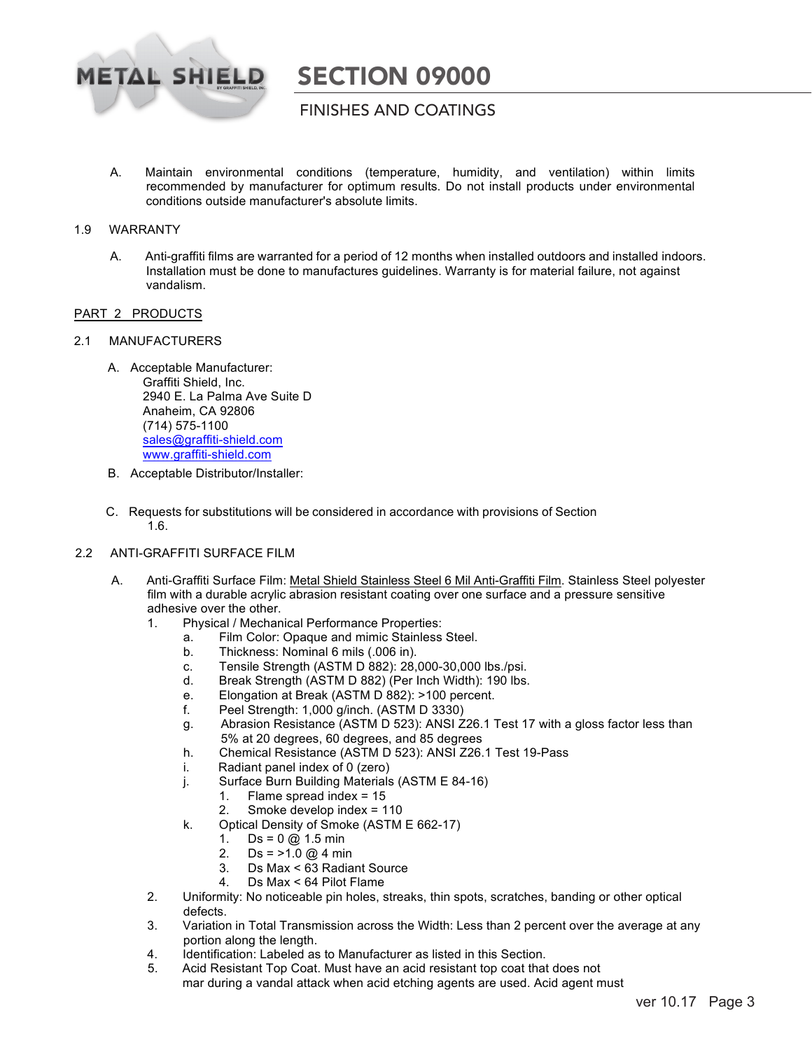

### FINISHES AND COATINGS

A. Maintain environmental conditions (temperature, humidity, and ventilation) within limits recommended by manufacturer for optimum results. Do not install products under environmental conditions outside manufacturer's absolute limits.

#### 1.9 WARRANTY

A. Anti-graffiti films are warranted for a period of 12 months when installed outdoors and installed indoors. Installation must be done to manufactures guidelines. Warranty is for material failure, not against vandalism.

#### PART 2 PRODUCTS

#### 2.1 MANUFACTURERS

- A. Acceptable Manufacturer: Graffiti Shield, Inc. 2940 E. La Palma Ave Suite D Anaheim, CA 92806 (714) 575-1100 sales@graffiti-shield.com www.graffiti-shield.com
- B. Acceptable Distributor/Installer:
- C. Requests for substitutions will be considered in accordance with provisions of Section 1.6.

#### 2.2 ANTI-GRAFFITI SURFACE FILM

- A. Anti-Graffiti Surface Film: Metal Shield Stainless Steel 6 Mil Anti-Graffiti Film. Stainless Steel polyester film with a durable acrylic abrasion resistant coating over one surface and a pressure sensitive adhesive over the other.
	- 1. Physical / Mechanical Performance Properties:
		- a. Film Color: Opaque and mimic Stainless Steel.
		- b. Thickness: Nominal 6 mils (.006 in).
		- c. Tensile Strength (ASTM D 882): 28,000-30,000 lbs./psi.
		- d. Break Strength (ASTM D 882) (Per Inch Width): 190 lbs.
		- e. Elongation at Break (ASTM D 882): >100 percent.
		- f. Peel Strength: 1,000 g/inch. (ASTM D 3330)
		- g. Abrasion Resistance (ASTM D 523): ANSI Z26.1 Test 17 with a gloss factor less than 5% at 20 degrees, 60 degrees, and 85 degrees
		- h. Chemical Resistance (ASTM D 523): ANSI Z26.1 Test 19-Pass
		- i. Radiant panel index of 0 (zero)
		- j. Surface Burn Building Materials (ASTM E 84-16)
			- 1. Flame spread index = 15
			- 2. Smoke develop index = 110
		- k. Optical Density of Smoke (ASTM E 662-17)
			- 1.  $Ds = 0 \text{ @ } 1.5 \text{ min}$
			- 2. Ds =  $>1.0 \text{ @ } 4 \text{ min}$
			- 3. Ds Max < 63 Radiant Source
			- 4. Ds Max < 64 Pilot Flame
	- 2. Uniformity: No noticeable pin holes, streaks, thin spots, scratches, banding or other optical defects.
	- 3. Variation in Total Transmission across the Width: Less than 2 percent over the average at any portion along the length.
	- 4. Identification: Labeled as to Manufacturer as listed in this Section.<br>5. Acid Resistant Top Coat. Must have an acid resistant top coat that
	- Acid Resistant Top Coat. Must have an acid resistant top coat that does not mar during a vandal attack when acid etching agents are used. Acid agent must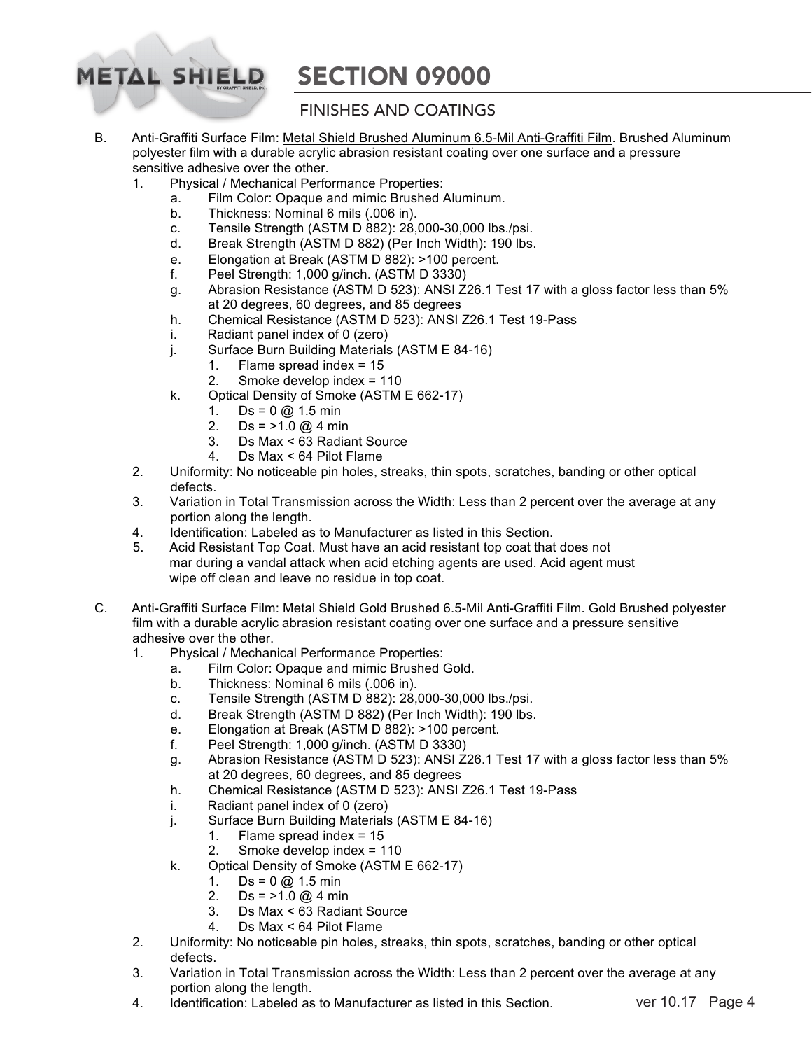## **FINISHES AND COATINGS**

- B. Anti-Graffiti Surface Film: Metal Shield Brushed Aluminum 6.5-Mil Anti-Graffiti Film. Brushed Aluminum polyester film with a durable acrylic abrasion resistant coating over one surface and a pressure sensitive adhesive over the other.
	- 1. Physical / Mechanical Performance Properties:

**METAL SHIELD** 

- a. Film Color: Opaque and mimic Brushed Aluminum.
- b. Thickness: Nominal 6 mils (.006 in).
- c. Tensile Strength (ASTM D 882): 28,000-30,000 lbs./psi.
- d. Break Strength (ASTM D 882) (Per Inch Width): 190 lbs.
- e. Elongation at Break (ASTM D 882): >100 percent.
- f. Peel Strength: 1,000 g/inch. (ASTM D 3330)
- g. Abrasion Resistance (ASTM D 523): ANSI Z26.1 Test 17 with a gloss factor less than 5% at 20 degrees, 60 degrees, and 85 degrees
- h. Chemical Resistance (ASTM D 523): ANSI Z26.1 Test 19-Pass
- i. Radiant panel index of 0 (zero)
- j. Surface Burn Building Materials (ASTM E 84-16)
	- 1. Flame spread index = 15
		- 2. Smoke develop index = 110
- k. Optical Density of Smoke (ASTM E 662-17)
	- 1.  $Ds = 0 @ 1.5 min$ <br>2.  $Ds = >1.0 @ 4 min$
	- $Ds = >1.0 \text{ @ } 4 \text{ min}$
	- 3. Ds Max < 63 Radiant Source
	- 4. Ds Max < 64 Pilot Flame
- 2. Uniformity: No noticeable pin holes, streaks, thin spots, scratches, banding or other optical defects.
- 3. Variation in Total Transmission across the Width: Less than 2 percent over the average at any portion along the length.
- 4. Identification: Labeled as to Manufacturer as listed in this Section.<br>5. Acid Resistant Top Coat. Must have an acid resistant top coat that
- 5. Acid Resistant Top Coat. Must have an acid resistant top coat that does not mar during a vandal attack when acid etching agents are used. Acid agent must wipe off clean and leave no residue in top coat.
- C. Anti-Graffiti Surface Film: Metal Shield Gold Brushed 6.5-Mil Anti-Graffiti Film. Gold Brushed polyester film with a durable acrylic abrasion resistant coating over one surface and a pressure sensitive adhesive over the other.
	- 1. Physical / Mechanical Performance Properties:
		- a. Film Color: Opaque and mimic Brushed Gold.
		- b. Thickness: Nominal 6 mils (.006 in).
		- c. Tensile Strength (ASTM D 882): 28,000-30,000 lbs./psi.
		- d. Break Strength (ASTM D 882) (Per Inch Width): 190 lbs.
		- e. Elongation at Break (ASTM D 882): >100 percent.
		- f. Peel Strength: 1,000 g/inch. (ASTM D 3330)
		- g. Abrasion Resistance (ASTM D 523): ANSI Z26.1 Test 17 with a gloss factor less than 5% at 20 degrees, 60 degrees, and 85 degrees
		- h. Chemical Resistance (ASTM D 523): ANSI Z26.1 Test 19-Pass
		- i. Radiant panel index of 0 (zero)
		- j. Surface Burn Building Materials (ASTM E 84-16)
			- 1. Flame spread index = 15
			- 2. Smoke develop index = 110
		- k. Optical Density of Smoke (ASTM E 662-17)
			- 1. Ds =  $0 \text{ @ } 1.5 \text{ min}$ <br>2. Ds = >1.0 @ 4 min
			- 2. Ds = >1.0 @ 4 min<br>3. Ds Max < 63 Radia
			- Ds Max < 63 Radiant Source
			- 4. Ds Max < 64 Pilot Flame
	- 2. Uniformity: No noticeable pin holes, streaks, thin spots, scratches, banding or other optical defects.
	- 3. Variation in Total Transmission across the Width: Less than 2 percent over the average at any portion along the length.
	- 4. Identification: Labeled as to Manufacturer as listed in this Section. ver 10.17 Page 4